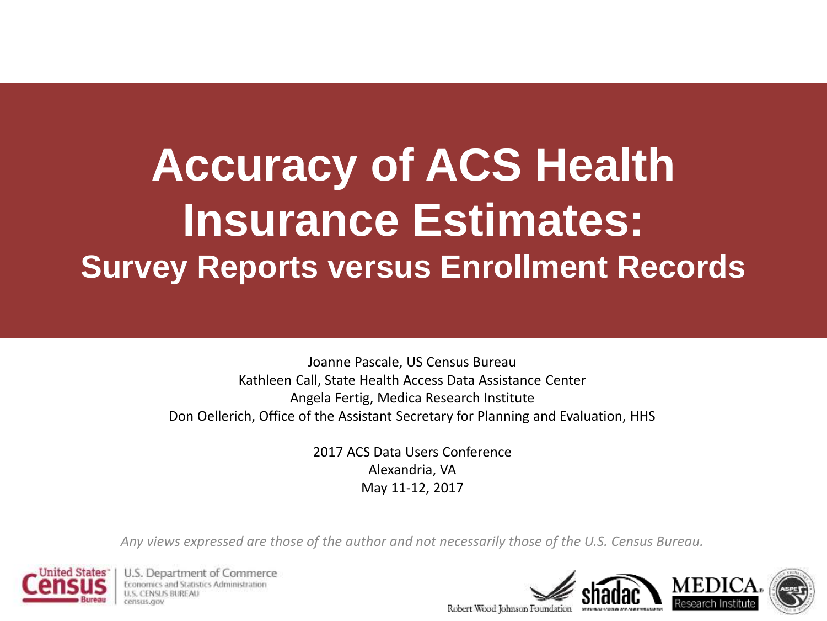### **Accuracy of ACS Health Insurance Estimates: Survey Reports versus Enrollment Records**

Joanne Pascale, US Census Bureau Kathleen Call, State Health Access Data Assistance Center Angela Fertig, Medica Research Institute Don Oellerich, Office of the Assistant Secretary for Planning and Evaluation, HHS

> 2017 ACS Data Users Conference Alexandria, VA May 11-12, 2017

*Any views expressed are those of the author and not necessarily those of the U.S. Census Bureau.*



U.S. Department of Commerce atistics Administration census cup

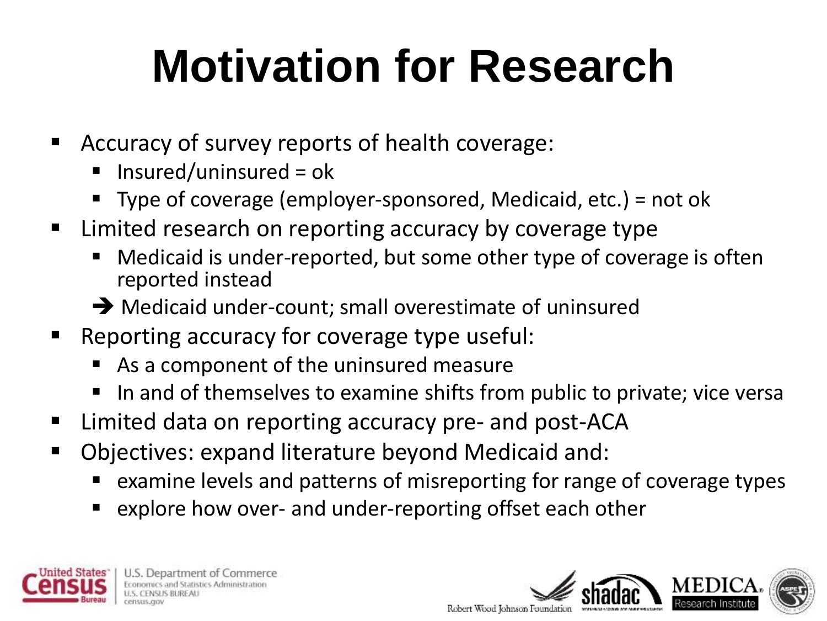## **Motivation for Research**

- Accuracy of survey reports of health coverage:
	- $\blacksquare$  Insured/uninsured = ok
	- Type of coverage (employer-sponsored, Medicaid, etc.) = not ok
- **EXTE:** Limited research on reporting accuracy by coverage type
	- Medicaid is under-reported, but some other type of coverage is often reported instead
	- → Medicaid under-count; small overestimate of uninsured
- Reporting accuracy for coverage type useful:
	- As a component of the uninsured measure
	- In and of themselves to examine shifts from public to private; vice versa
- Limited data on reporting accuracy pre- and post-ACA
- Objectives: expand literature beyond Medicaid and:
	- examine levels and patterns of misreporting for range of coverage types
	- explore how over- and under-reporting offset each other



U.S. Department of Commerce ustics Administration

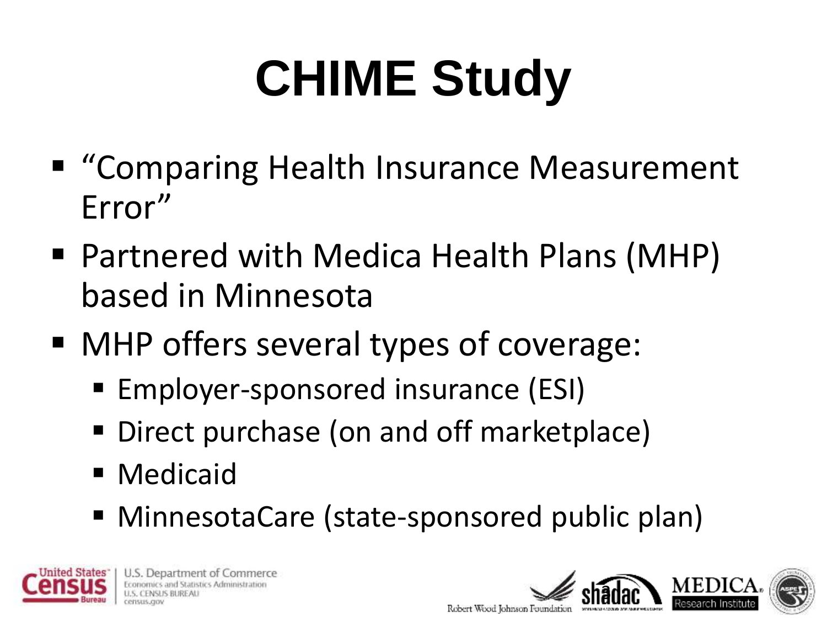# **CHIME Study**

- "Comparing Health Insurance Measurement Error"
- Partnered with Medica Health Plans (MHP) based in Minnesota
- MHP offers several types of coverage:
	- Employer-sponsored insurance (ESI)
	- Direct purchase (on and off marketplace)
	- **Medicaid**
	- MinnesotaCare (state-sponsored public plan)



U.S. Department of Commerce stics Administration

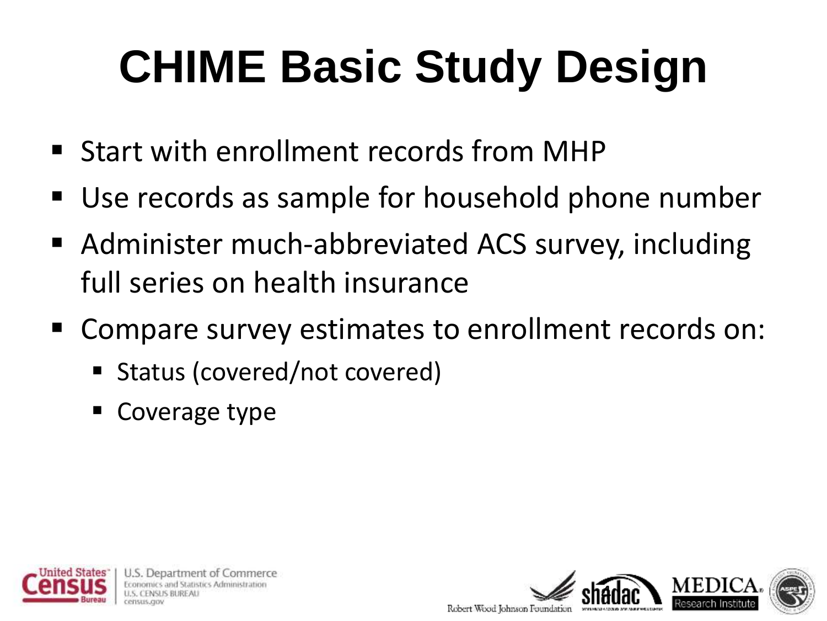## **CHIME Basic Study Design**

- **Start with enrollment records from MHP**
- Use records as sample for household phone number
- Administer much-abbreviated ACS survey, including full series on health insurance
- Compare survey estimates to enrollment records on:
	- Status (covered/not covered)
	- Coverage type



Jepartment of Commerce < Administration

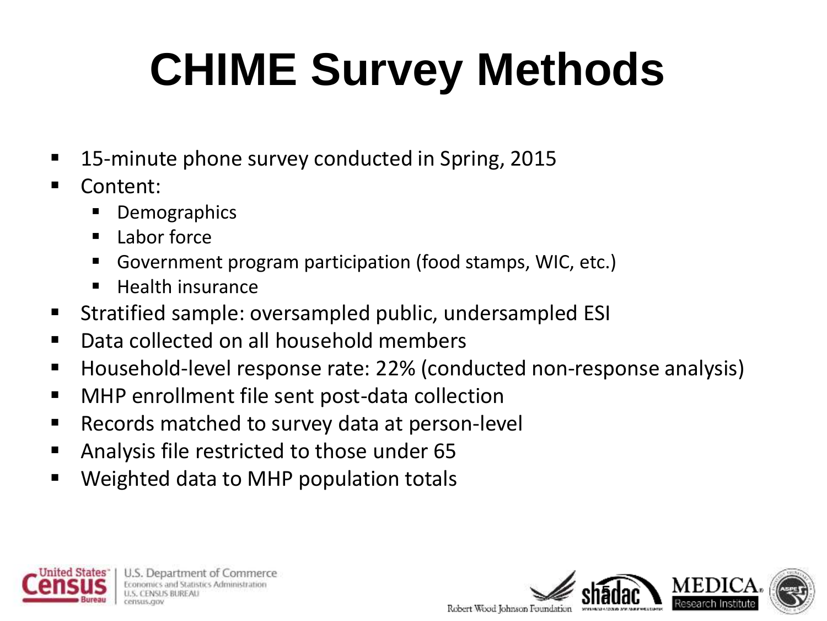## **CHIME Survey Methods**

- 15-minute phone survey conducted in Spring, 2015
- Content:
	- Demographics
	- $\blacksquare$  Labor force
	- Government program participation (food stamps, WIC, etc.)
	- Health insurance
- Stratified sample: oversampled public, undersampled ESI
- Data collected on all household members
- Household-level response rate: 22% (conducted non-response analysis)
- MHP enrollment file sent post-data collection
- Records matched to survey data at person-level
- Analysis file restricted to those under 65
- Weighted data to MHP population totals



U.S. Department of Commerce extics Administration

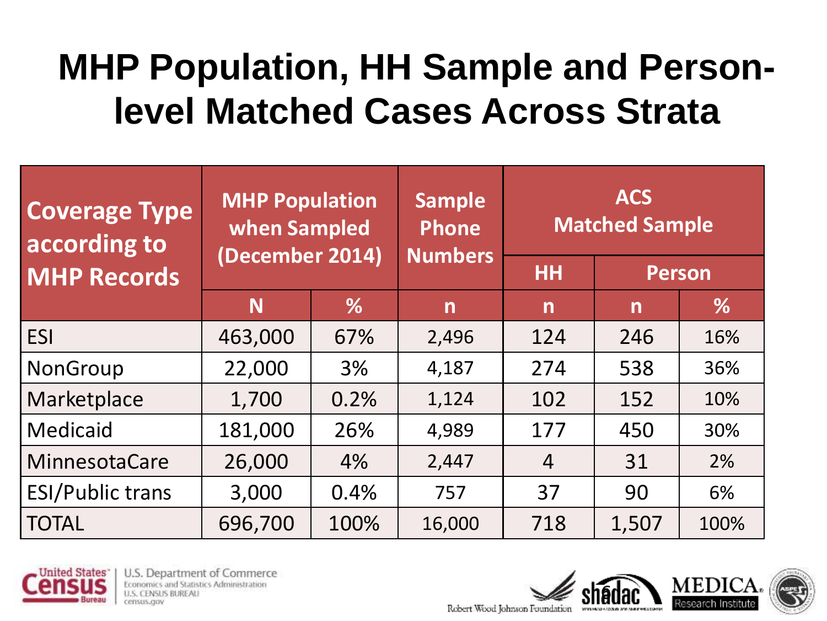### **MHP Population, HH Sample and Personlevel Matched Cases Across Strata**

| <b>Coverage Type</b><br>according to | <b>MHP Population</b><br>when Sampled<br>(December 2014) |      | <b>Sample</b><br><b>Phone</b><br><b>Numbers</b> | <b>ACS</b><br><b>Matched Sample</b> |              |      |  |
|--------------------------------------|----------------------------------------------------------|------|-------------------------------------------------|-------------------------------------|--------------|------|--|
| <b>MHP Records</b>                   |                                                          |      |                                                 | HH                                  | Person       |      |  |
|                                      | N                                                        | %    | $\mathsf{n}$                                    | $\mathsf{n}$                        | $\mathsf{n}$ | %    |  |
| <b>ESI</b>                           | 463,000                                                  | 67%  | 2,496                                           | 124                                 | 246          | 16%  |  |
| NonGroup                             | 22,000                                                   | 3%   | 4,187                                           | 274                                 | 538          | 36%  |  |
| Marketplace                          | 1,700                                                    | 0.2% | 1,124                                           | 102                                 | 152          | 10%  |  |
| <b>Medicaid</b>                      | 181,000                                                  | 26%  | 4,989                                           | 177                                 | 450          | 30%  |  |
| MinnesotaCare                        | 26,000                                                   | 4%   | 2,447                                           | $\overline{4}$                      | 31           | 2%   |  |
| <b>ESI/Public trans</b>              | 3,000                                                    | 0.4% | 757                                             | 37                                  | 90           | 6%   |  |
| <b>TOTAL</b>                         | 696,700                                                  | 100% | 16,000                                          | 718                                 | 1,507        | 100% |  |



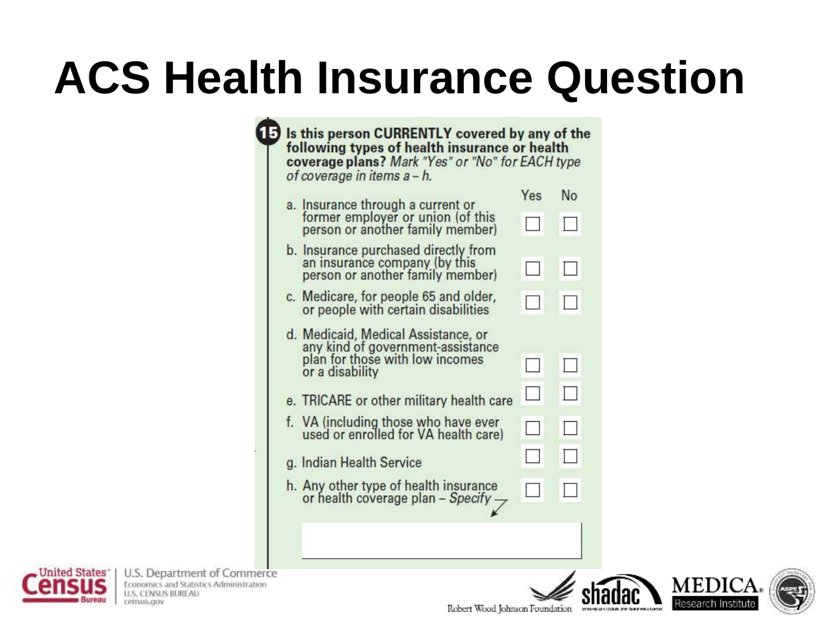## **ACS Health Insurance Question**

| a. Insurance through a current or                                                                         | Yes  | No |
|-----------------------------------------------------------------------------------------------------------|------|----|
| former employer or union (of this<br>person or another family member)                                     |      |    |
| b. Insurance purchased directly from<br>an insurance company (by this<br>person or another family member) |      |    |
| c. Medicare, for people 65 and older,<br>or people with certain disabilities                              |      |    |
| d. Medicaid, Medical Assistance, or                                                                       |      |    |
| any kind of government-assistance<br>plan for those with low incomes<br>or a disability                   |      |    |
| e. TRICARE or other military health care                                                                  | l. d | LJ |
| f. VA (including those who have ever<br>used or enrolled for VA health care)                              |      |    |
| g. Indian Health Service                                                                                  |      |    |
| h. Any other type of health insurance<br>or health coverage plan - Specify -                              |      |    |



U.S. Department of Commerce Economics and Statistics Administration **U.S. CENSUS BUREAU** census.gov



7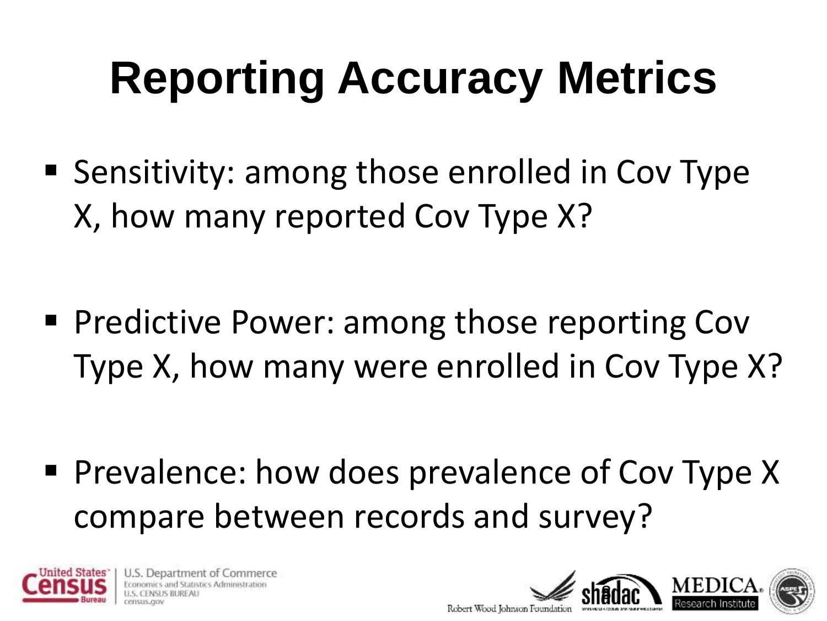## **Reporting Accuracy Metrics**

■ Sensitivity: among those enrolled in Cov Type X, how many reported Cov Type X?

**Predictive Power: among those reporting Coven** Type X, how many were enrolled in Cov Type X?

**Prevalence: how does prevalence of Cov Type X** compare between records and survey?



U.S. Department of Commerce stics Administration

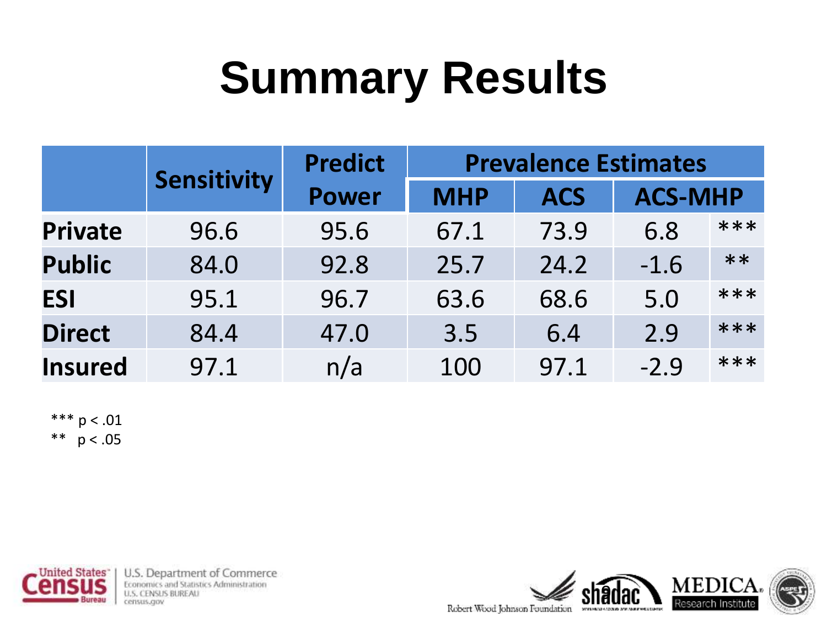## **Summary Results**

|                | <b>Sensitivity</b> | <b>Predict</b> | <b>Prevalence Estimates</b> |            |                |      |  |
|----------------|--------------------|----------------|-----------------------------|------------|----------------|------|--|
|                |                    | <b>Power</b>   | <b>MHP</b>                  | <b>ACS</b> | <b>ACS-MHP</b> |      |  |
| <b>Private</b> | 96.6               | 95.6           | 67.1                        | 73.9       | 6.8            | ***  |  |
| <b>Public</b>  | 84.0               | 92.8           | 25.7                        | 24.2       | $-1.6$         | $**$ |  |
| <b>ESI</b>     | 95.1               | 96.7           | 63.6                        | 68.6       | 5.0            | ***  |  |
| <b>Direct</b>  | 84.4               | 47.0           | 3.5                         | 6.4        | 2.9            | ***  |  |
| <b>Insured</b> | 97.1               | n/a            | 100                         | 97.1       | $-2.9$         | ***  |  |

\*\*\*  $p < .01$ \*\*  $p < .05$ 



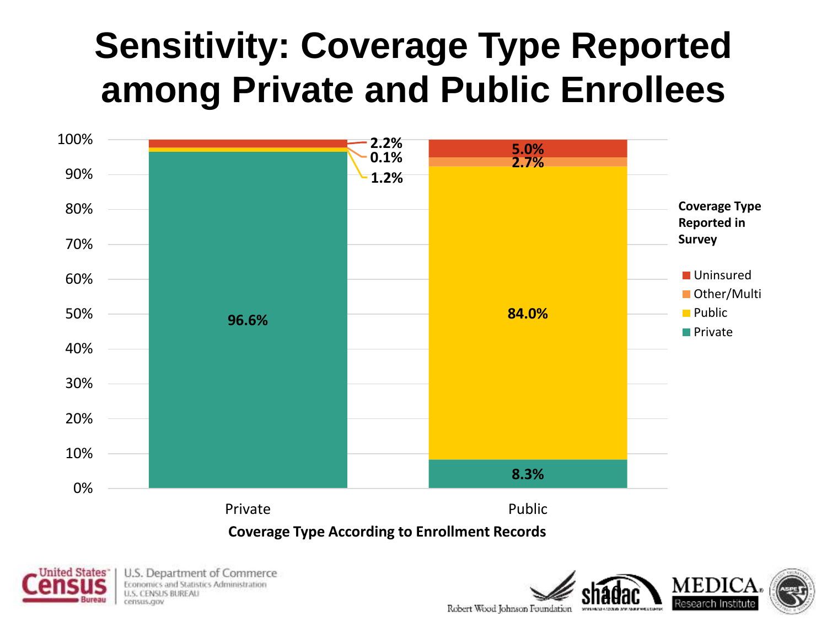### **Sensitivity: Coverage Type Reported among Private and Public Enrollees**



**Coverage Type According to Enrollment Records**



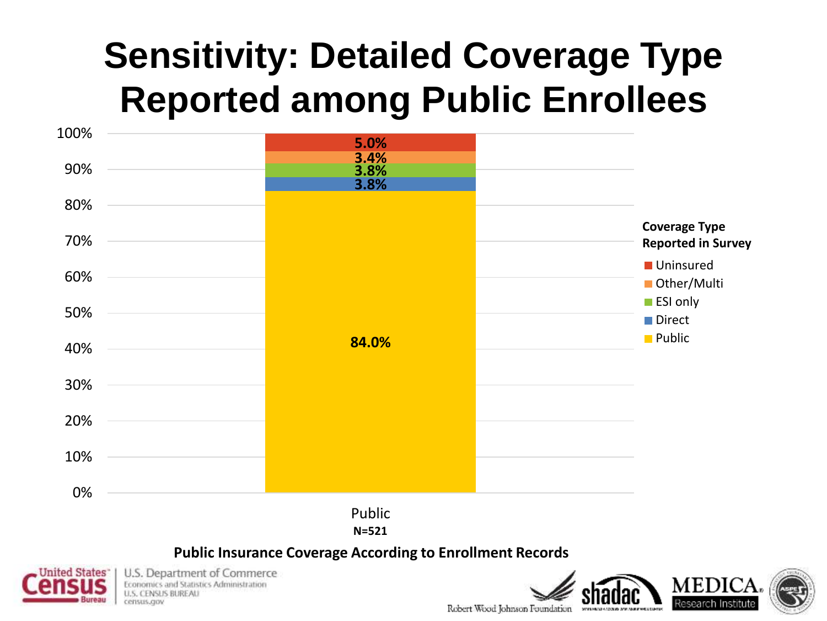### **Sensitivity: Detailed Coverage Type Reported among Public Enrollees**



#### **Public Insurance Coverage According to Enrollment Records**



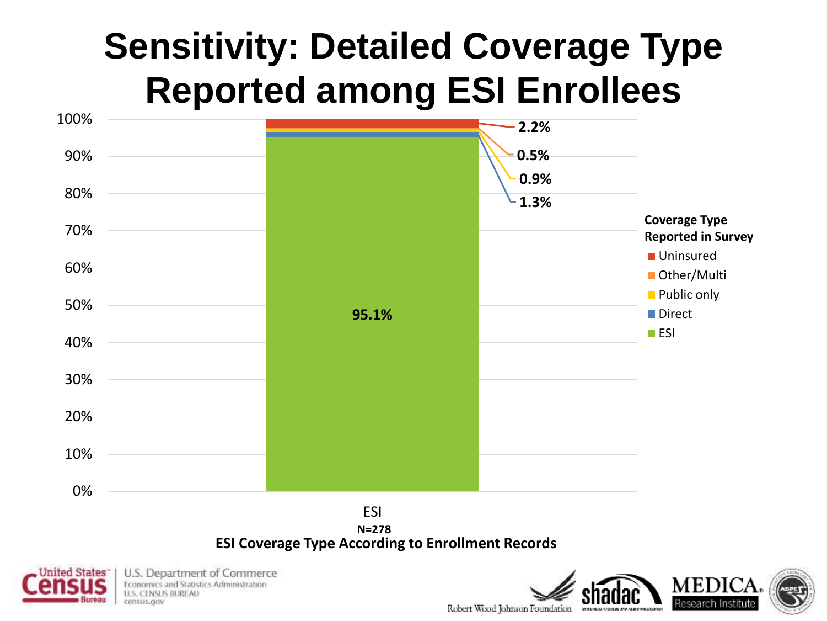### **Sensitivity: Detailed Coverage Type Reported among ESI Enrollees**



#### **ESI Coverage Type According to Enrollment Records**



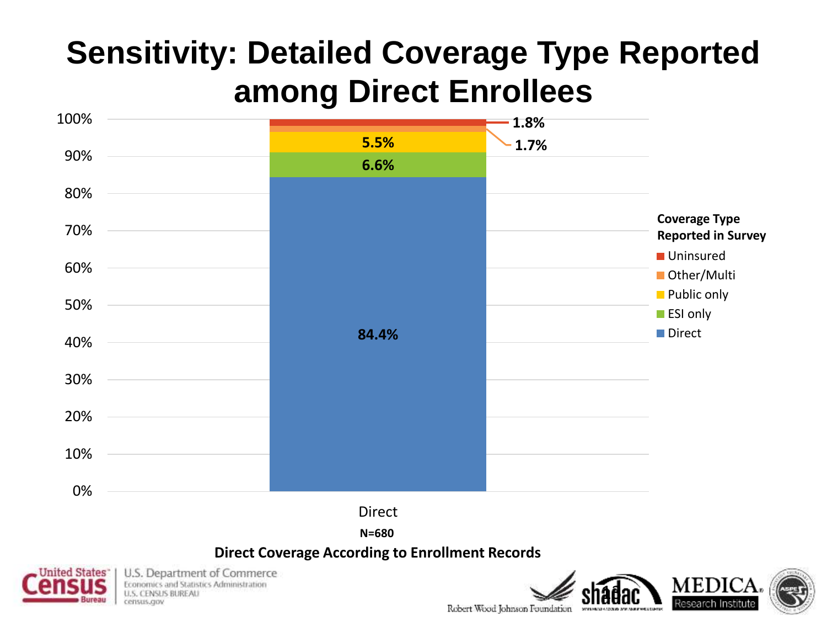### **Sensitivity: Detailed Coverage Type Reported among Direct Enrollees**



**N=680**

#### **Direct Coverage According to Enrollment Records**



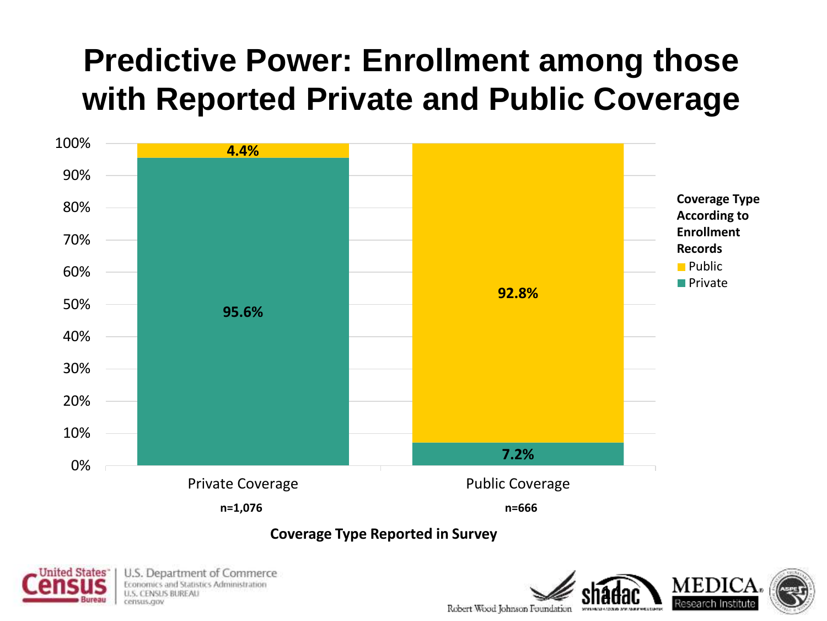### **Predictive Power: Enrollment among those with Reported Private and Public Coverage**



**Coverage Type Reported in Survey**



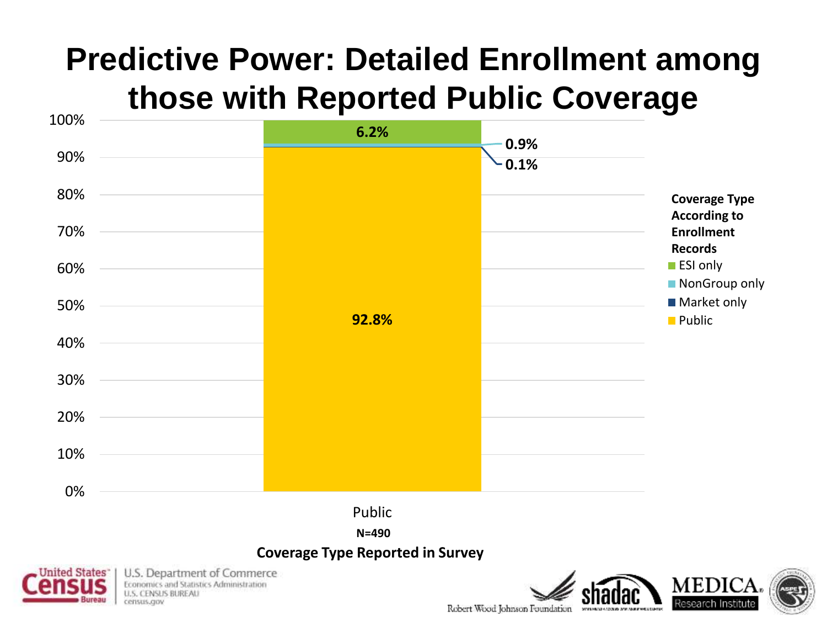### **Predictive Power: Detailed Enrollment among those with Reported Public Coverage**





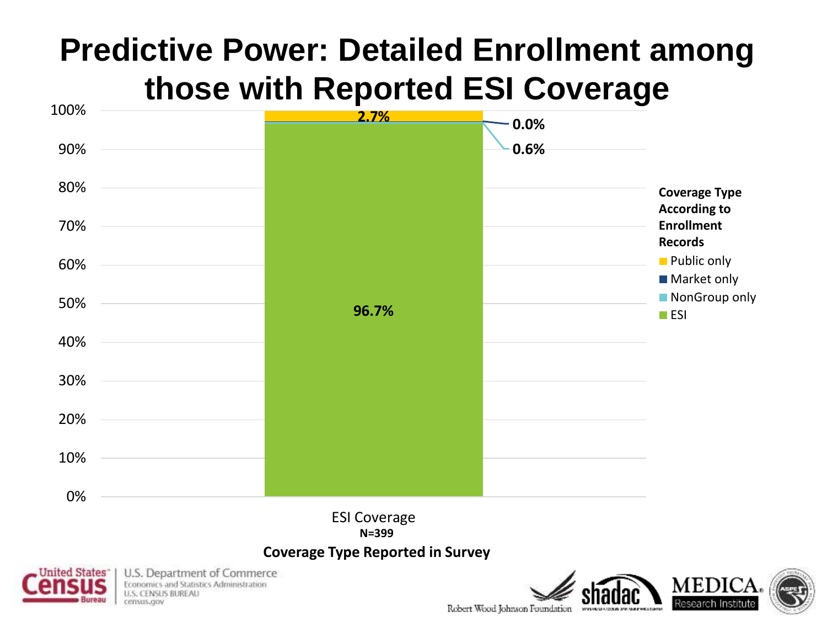### **Predictive Power: Detailed Enrollment among those with Reported ESI Coverage**



**N=399**

#### **Coverage Type Reported in Survey**

Robert Wood Johnson Foundation

SEVENTARIA ADDEKE SAMUNDUR

**MEDICA.** 

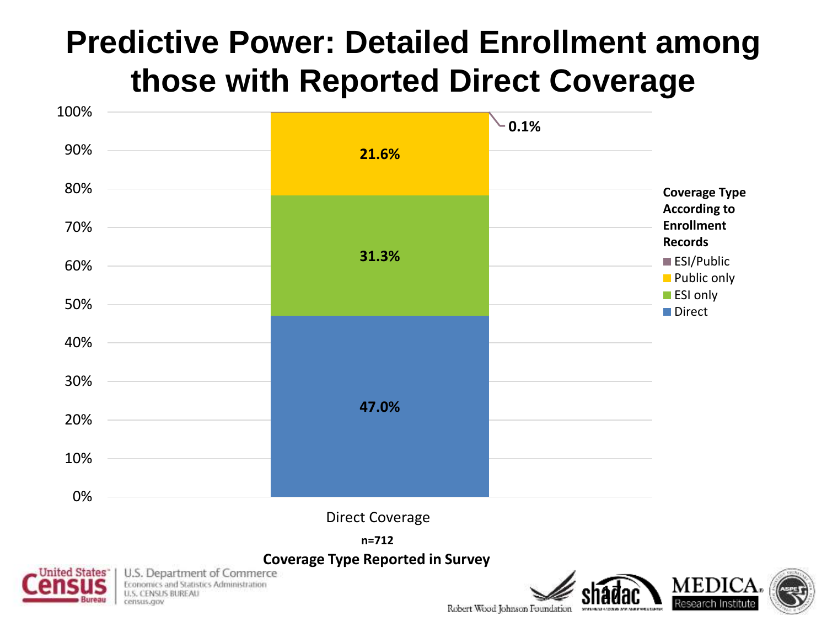### **Predictive Power: Detailed Enrollment among those with Reported Direct Coverage**



Robert Wood Johnson Foundation

SEVENTARI (ADOUS SAMASIES)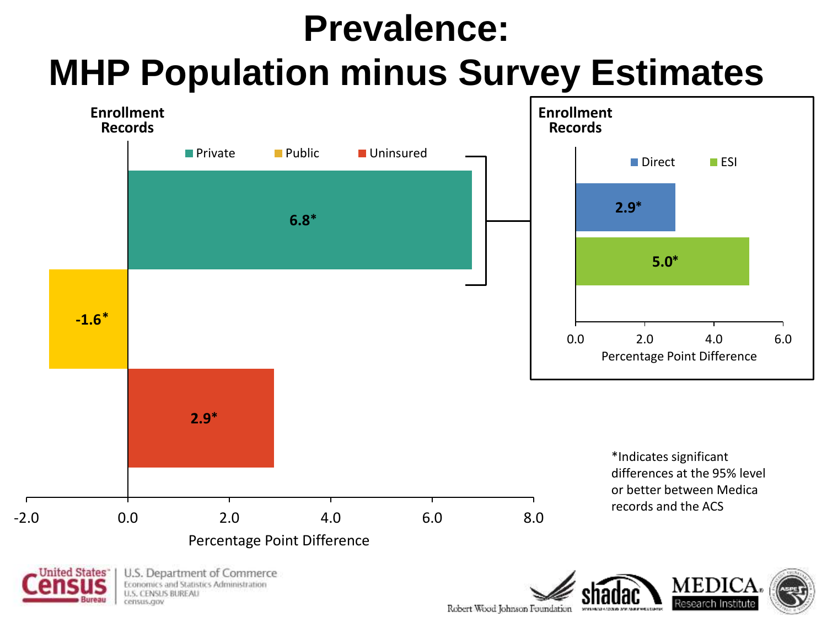### **Prevalence: MHP Population minus Survey Estimates**

![](_page_17_Figure_1.jpeg)

Robert Wood Johnson Foundation SEVENTARY 47 (2006) 273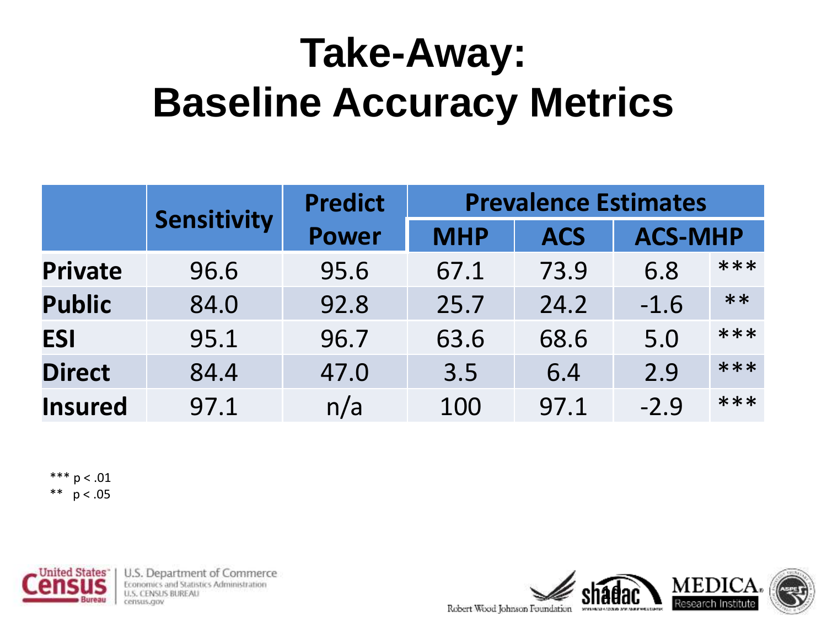## **Take-Away: Baseline Accuracy Metrics**

|                |                    | <b>Predict</b> | <b>Prevalence Estimates</b> |            |                |      |  |
|----------------|--------------------|----------------|-----------------------------|------------|----------------|------|--|
|                | <b>Sensitivity</b> | <b>Power</b>   | <b>MHP</b>                  | <b>ACS</b> | <b>ACS-MHP</b> |      |  |
| <b>Private</b> | 96.6               | 95.6           | 67.1                        | 73.9       | 6.8            | ***  |  |
| <b>Public</b>  | 84.0               | 92.8           | 25.7                        | 24.2       | $-1.6$         | $**$ |  |
| <b>ESI</b>     | 95.1               | 96.7           | 63.6                        | 68.6       | 5.0            | ***  |  |
| <b>Direct</b>  | 84.4               | 47.0           | 3.5                         | 6.4        | 2.9            | ***  |  |
| <b>Insured</b> | 97.1               | n/a            | 100                         | 97.1       | $-2.9$         | ***  |  |

\*\*\*  $p < .01$ \*\*  $p < .05$ 

![](_page_18_Picture_3.jpeg)

![](_page_18_Picture_5.jpeg)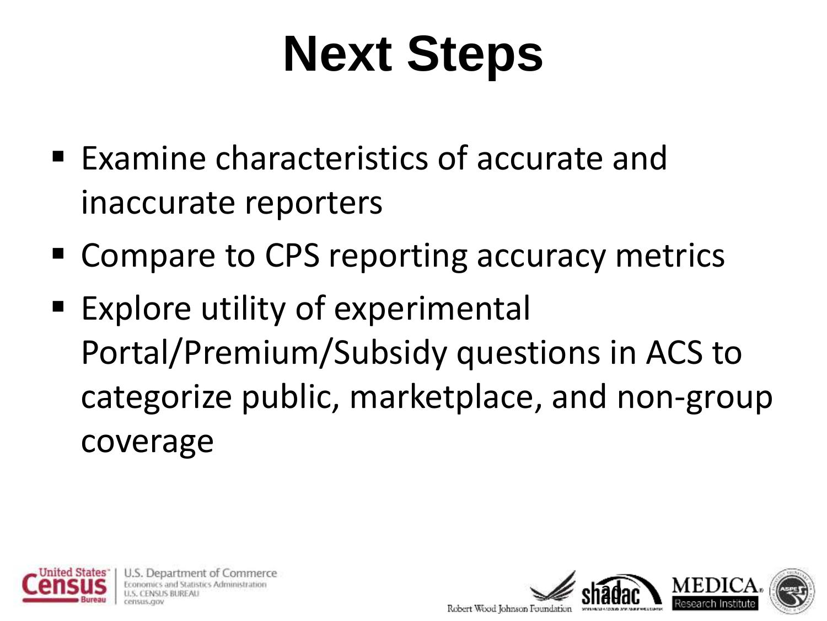# **Next Steps**

- Examine characteristics of accurate and inaccurate reporters
- Compare to CPS reporting accuracy metrics
- Explore utility of experimental Portal/Premium/Subsidy questions in ACS to categorize public, marketplace, and non-group coverage

![](_page_19_Picture_4.jpeg)

Department of Commerce stics Administration

![](_page_19_Picture_6.jpeg)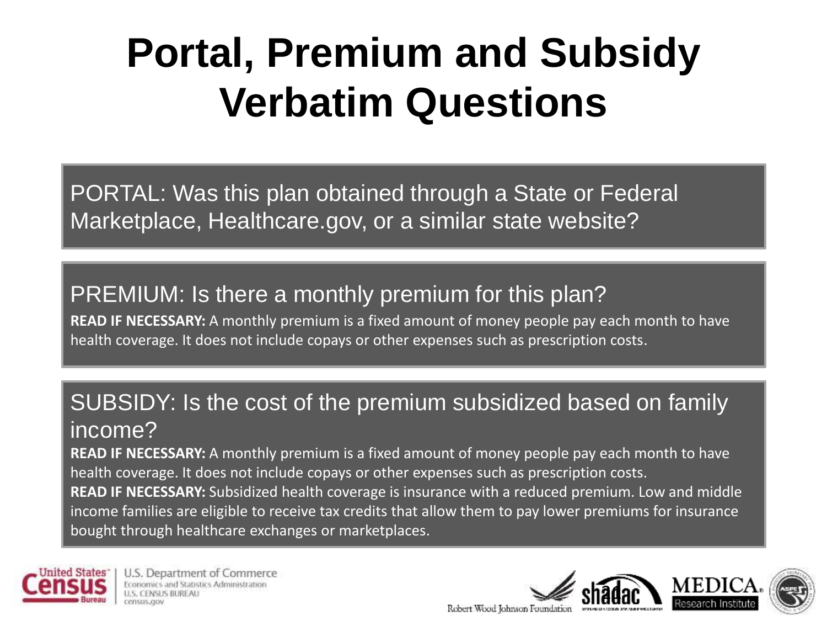## **Portal, Premium and Subsidy Verbatim Questions**

PORTAL: Was this plan obtained through a State or Federal Marketplace, Healthcare.gov, or a similar state website?

### PREMIUM: Is there a monthly premium for this plan?

**READ IF NECESSARY:** A monthly premium is a fixed amount of money people pay each month to have health coverage. It does not include copays or other expenses such as prescription costs.

### SUBSIDY: Is the cost of the premium subsidized based on family income?

**READ IF NECESSARY:** A monthly premium is a fixed amount of money people pay each month to have health coverage. It does not include copays or other expenses such as prescription costs. **READ IF NECESSARY:** Subsidized health coverage is insurance with a reduced premium. Low and middle income families are eligible to receive tax credits that allow them to pay lower premiums for insurance bought through healthcare exchanges or marketplaces.

![](_page_20_Picture_6.jpeg)

U.S. Department of Commerce mstics Administration census.cov

![](_page_20_Picture_8.jpeg)